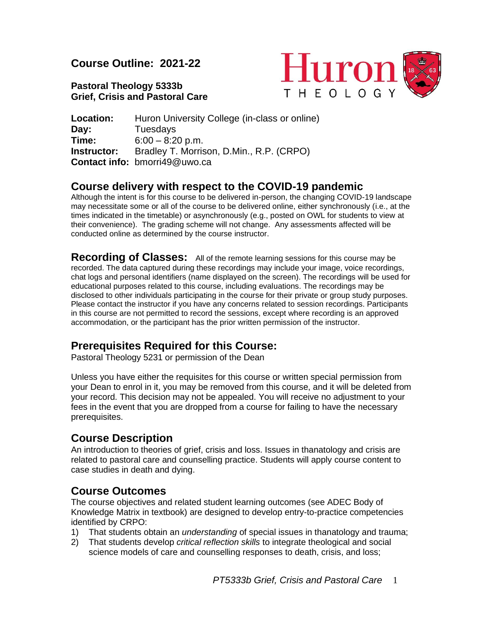**Course Outline: 2021-22**

**Pastoral Theology 5333b Grief, Crisis and Pastoral Care**



**Location:** Huron University College (in-class or online) **Day:** Tuesdays **Time:** 6:00 – 8:20 p.m. **Instructor:** Bradley T. Morrison, D.Min., R.P. (CRPO) **Contact info:** bmorri49@uwo.ca

## **Course delivery with respect to the COVID-19 pandemic**

Although the intent is for this course to be delivered in-person, the changing COVID-19 landscape may necessitate some or all of the course to be delivered online, either synchronously (i.e., at the times indicated in the timetable) or asynchronously (e.g., posted on OWL for students to view at their convenience). The grading scheme will not change. Any assessments affected will be conducted online as determined by the course instructor.

**Recording of Classes:** All of the remote learning sessions for this course may be recorded. The data captured during these recordings may include your image, voice recordings, chat logs and personal identifiers (name displayed on the screen). The recordings will be used for educational purposes related to this course, including evaluations. The recordings may be disclosed to other individuals participating in the course for their private or group study purposes. Please contact the instructor if you have any concerns related to session recordings. Participants in this course are not permitted to record the sessions, except where recording is an approved accommodation, or the participant has the prior written permission of the instructor.

# **Prerequisites Required for this Course:**

Pastoral Theology 5231 or permission of the Dean

Unless you have either the requisites for this course or written special permission from your Dean to enrol in it, you may be removed from this course, and it will be deleted from your record. This decision may not be appealed. You will receive no adjustment to your fees in the event that you are dropped from a course for failing to have the necessary prerequisites.

## **Course Description**

An introduction to theories of grief, crisis and loss. Issues in thanatology and crisis are related to pastoral care and counselling practice. Students will apply course content to case studies in death and dying.

## **Course Outcomes**

The course objectives and related student learning outcomes (see ADEC Body of Knowledge Matrix in textbook) are designed to develop entry-to-practice competencies identified by CRPO:

- 1) That students obtain an *understanding* of special issues in thanatology and trauma;
- 2) That students develop *critical reflection skills* to integrate theological and social science models of care and counselling responses to death, crisis, and loss;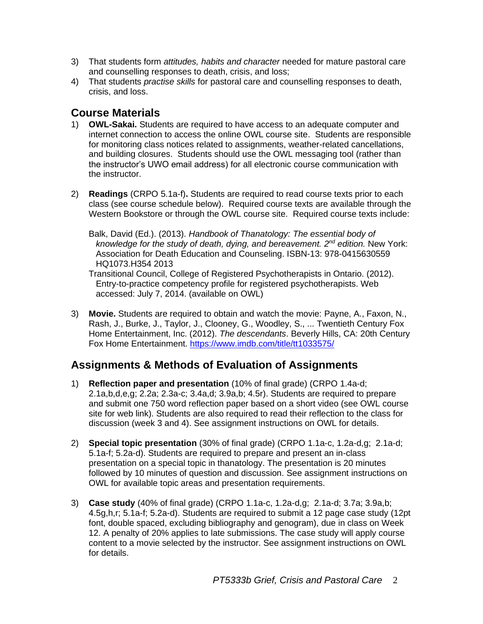- 3) That students form *attitudes, habits and character* needed for mature pastoral care and counselling responses to death, crisis, and loss;
- 4) That students *practise skills* for pastoral care and counselling responses to death, crisis, and loss.

## **Course Materials**

- 1) **OWL-Sakai.** Students are required to have access to an adequate computer and internet connection to access the online OWL course site. Students are responsible for monitoring class notices related to assignments, weather-related cancellations, and building closures. Students should use the OWL messaging tool (rather than the instructor's UWO email address) for all electronic course communication with the instructor.
- 2) **Readings** (CRPO 5.1a-f)**.** Students are required to read course texts prior to each class (see course schedule below). Required course texts are available through the Western Bookstore or through the OWL course site. Required course texts include:
	- Balk, David (Ed.). (2013). *Handbook of Thanatology: The essential body of knowledge for the study of death, dying, and bereavement. 2 nd edition.* New York: Association for Death Education and Counseling. ISBN-13: 978-0415630559 HQ1073.H354 2013

Transitional Council, College of Registered Psychotherapists in Ontario. (2012). Entry-to-practice competency profile for registered psychotherapists. Web accessed: July 7, 2014. (available on OWL)

3) **Movie.** Students are required to obtain and watch the movie: Payne, A., Faxon, N., Rash, J., Burke, J., Taylor, J., Clooney, G., Woodley, S., ... Twentieth Century Fox Home Entertainment, Inc. (2012). *The descendants*. Beverly Hills, CA: 20th Century Fox Home Entertainment. <https://www.imdb.com/title/tt1033575/>

## **Assignments & Methods of Evaluation of Assignments**

- 1) **Reflection paper and presentation** (10% of final grade) (CRPO 1.4a-d; 2.1a,b,d,e,g; 2.2a; 2.3a-c; 3.4a,d; 3.9a,b; 4.5r). Students are required to prepare and submit one 750 word reflection paper based on a short video (see OWL course site for web link). Students are also required to read their reflection to the class for discussion (week 3 and 4). See assignment instructions on OWL for details.
- 2) **Special topic presentation** (30% of final grade) (CRPO 1.1a-c, 1.2a-d,g; 2.1a-d; 5.1a-f; 5.2a-d). Students are required to prepare and present an in-class presentation on a special topic in thanatology. The presentation is 20 minutes followed by 10 minutes of question and discussion. See assignment instructions on OWL for available topic areas and presentation requirements.
- 3) **Case study** (40% of final grade) (CRPO 1.1a-c, 1.2a-d,g; 2.1a-d; 3.7a; 3.9a,b; 4.5g,h,r; 5.1a-f; 5.2a-d). Students are required to submit a 12 page case study (12pt font, double spaced, excluding bibliography and genogram), due in class on Week 12. A penalty of 20% applies to late submissions. The case study will apply course content to a movie selected by the instructor. See assignment instructions on OWL for details.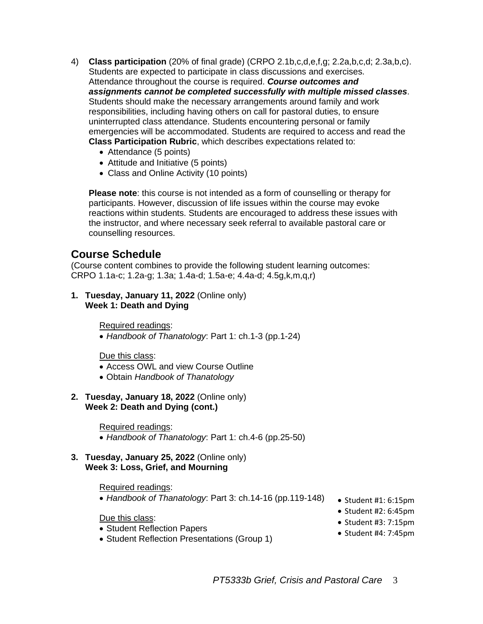- 4) **Class participation** (20% of final grade) (CRPO 2.1b,c,d,e,f,g; 2.2a,b,c,d; 2.3a,b,c). Students are expected to participate in class discussions and exercises. Attendance throughout the course is required. *Course outcomes and assignments cannot be completed successfully with multiple missed classes*. Students should make the necessary arrangements around family and work responsibilities, including having others on call for pastoral duties, to ensure uninterrupted class attendance. Students encountering personal or family emergencies will be accommodated. Students are required to access and read the **Class Participation Rubric**, which describes expectations related to:
	- Attendance (5 points)
	- Attitude and Initiative (5 points)
	- Class and Online Activity (10 points)

**Please note**: this course is not intended as a form of counselling or therapy for participants. However, discussion of life issues within the course may evoke reactions within students. Students are encouraged to address these issues with the instructor, and where necessary seek referral to available pastoral care or counselling resources.

### **Course Schedule**

(Course content combines to provide the following student learning outcomes: CRPO 1.1a-c; 1.2a-g; 1.3a; 1.4a-d; 1.5a-e; 4.4a-d; 4.5g,k,m,q,r)

**1. Tuesday, January 11, 2022** (Online only) **Week 1: Death and Dying**

Required readings:

• *Handbook of Thanatology*: Part 1: ch.1-3 (pp.1-24)

Due this class:

- Access OWL and view Course Outline
- Obtain *Handbook of Thanatology*
- **2. Tuesday, January 18, 2022** (Online only) **Week 2: Death and Dying (cont.)**

Required readings:

• *Handbook of Thanatology*: Part 1: ch.4-6 (pp.25-50)

#### **3. Tuesday, January 25, 2022** (Online only) **Week 3: Loss, Grief, and Mourning**

#### Required readings:

- *Handbook of Thanatology*: Part 3: ch.14-16 (pp.119-148)
- Student #1: 6:15pm • Student #2: 6:45pm

Due this class:

- Student Reflection Papers
- Student Reflection Presentations (Group 1)
- Student #3: 7:15pm
- Student #4: 7:45pm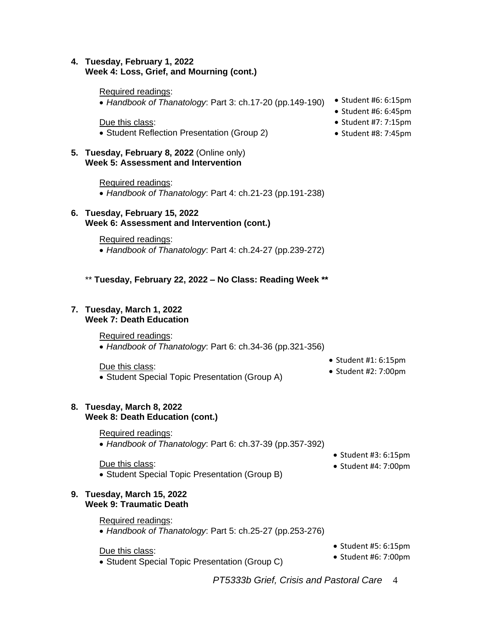### **4. Tuesday, February 1, 2022 Week 4: Loss, Grief, and Mourning (cont.)**

#### Required readings:

• *Handbook of Thanatology*: Part 3: ch.17-20 (pp.149-190) • Student #6: 6:15pm

Due this class:

• Student Reflection Presentation (Group 2)

#### **5. Tuesday, February 8, 2022** (Online only) **Week 5: Assessment and Intervention**

Required readings: • *Handbook of Thanatology*: Part 4: ch.21-23 (pp.191-238)

### **6. Tuesday, February 15, 2022 Week 6: Assessment and Intervention (cont.)**

Required readings:

- *Handbook of Thanatology*: Part 4: ch.24-27 (pp.239-272)
- \*\* **Tuesday, February 22, 2022 – No Class: Reading Week \*\***

#### **7. Tuesday, March 1, 2022 Week 7: Death Education**

Required readings:

• *Handbook of Thanatology*: Part 6: ch.34-36 (pp.321-356)

Due this class:

- Student Special Topic Presentation (Group A)
- Student #1: 6:15pm
- Student #2: 7:00pm

#### **8. Tuesday, March 8, 2022 Week 8: Death Education (cont.)**

Required readings:

• *Handbook of Thanatology*: Part 6: ch.37-39 (pp.357-392)

Due this class:

• Student Special Topic Presentation (Group B)

### **9. Tuesday, March 15, 2022 Week 9: Traumatic Death**

### Required readings:

• *Handbook of Thanatology*: Part 5: ch.25-27 (pp.253-276)

#### Due this class:

- Student Special Topic Presentation (Group C)
- Student #5: 6:15pm

• Student #3: 6:15pm • Student #4: 7:00pm

- Student #6: 7:00pm
- *PT5333b Grief, Crisis and Pastoral Care* 4
- 
- Student #6: 6:45pm
- Student #7: 7:15pm
- Student #8: 7:45pm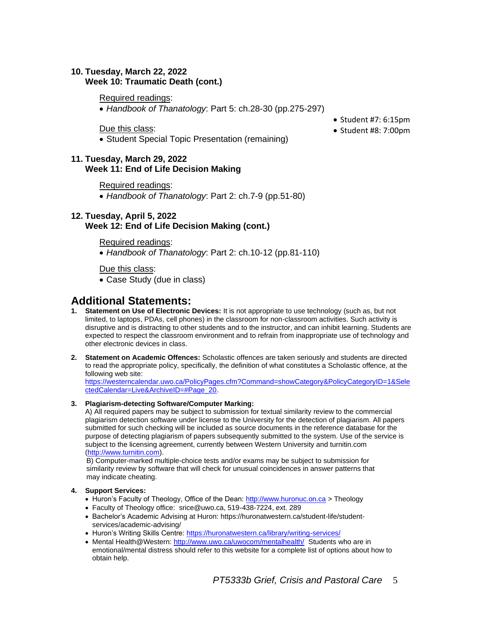### **10. Tuesday, March 22, 2022 Week 10: Traumatic Death (cont.)**

Required readings:

• *Handbook of Thanatology*: Part 5: ch.28-30 (pp.275-297)

Due this class:

• Student Special Topic Presentation (remaining)

### **11. Tuesday, March 29, 2022 Week 11: End of Life Decision Making**

Required readings:

• *Handbook of Thanatology*: Part 2: ch.7-9 (pp.51-80)

### **12. Tuesday, April 5, 2022 Week 12: End of Life Decision Making (cont.)**

Required readings:

• *Handbook of Thanatology*: Part 2: ch.10-12 (pp.81-110)

Due this class:

• Case Study (due in class)

### **Additional Statements:**

- **1. Statement on Use of Electronic Devices:** It is not appropriate to use technology (such as, but not limited, to laptops, PDAs, cell phones) in the classroom for non-classroom activities. Such activity is disruptive and is distracting to other students and to the instructor, and can inhibit learning. Students are expected to respect the classroom environment and to refrain from inappropriate use of technology and other electronic devices in class.
- **2. Statement on Academic Offences:** Scholastic offences are taken seriously and students are directed to read the appropriate policy, specifically, the definition of what constitutes a Scholastic offence, at the following web site:

[https://westerncalendar.uwo.ca/PolicyPages.cfm?Command=showCategory&PolicyCategoryID=1&Sele](https://westerncalendar.uwo.ca/PolicyPages.cfm?Command=showCategory&PolicyCategoryID=1&SelectedCalendar=Live&ArchiveID=#Page_20) [ctedCalendar=Live&ArchiveID=#Page\\_20.](https://westerncalendar.uwo.ca/PolicyPages.cfm?Command=showCategory&PolicyCategoryID=1&SelectedCalendar=Live&ArchiveID=#Page_20)

#### **3. Plagiarism-detecting Software/Computer Marking:**

A) All required papers may be subject to submission for textual similarity review to the commercial plagiarism detection software under license to the University for the detection of plagiarism. All papers submitted for such checking will be included as source documents in the reference database for the purpose of detecting plagiarism of papers subsequently submitted to the system. Use of the service is subject to the licensing agreement, currently between Western University and turnitin.com [\(http://www.turnitin.com\)](http://www.turnitin.com/).

B) Computer-marked multiple-choice tests and/or exams may be subject to submission for similarity review by software that will check for unusual coincidences in answer patterns that may indicate cheating.

#### **4. Support Services:**

- Huron's Faculty of Theology, Office of the Dean[: http://www.huronuc.on.ca](http://www.huronuc.on.ca/) > Theology
- Faculty of Theology office: srice@uwo.ca, 519-438-7224, ext. 289
- Bachelor's Academic Advising at Huron[: https://huronatwestern.ca/student-life/student](https://huronatwestern.ca/student-life/student-services/academic-advising/)[services/academic-advising/](https://huronatwestern.ca/student-life/student-services/academic-advising/)
- Huron's Writing Skills Centre[: https://huronatwestern.ca/library/writing-services/](https://huronatwestern.ca/library/writing-services/)
- Mental Health@Western:<http://www.uwo.ca/uwocom/mentalhealth/>Students who are in emotional/mental distress should refer to this website for a complete list of options about how to obtain help.

• Student #7: 6:15pm

• Student #8: 7:00pm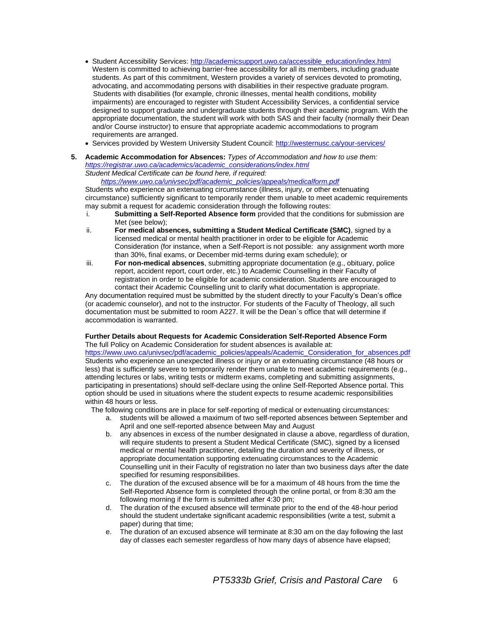- Student Accessibility Services[: http://academicsupport.uwo.ca/accessible\\_education/index.html](http://academicsupport.uwo.ca/accessible_education/index.html) Western is committed to achieving barrier-free accessibility for all its members, including graduate students. As part of this commitment, Western provides a variety of services devoted to promoting, advocating, and accommodating persons with disabilities in their respective graduate program. Students with disabilities (for example, chronic illnesses, mental health conditions, mobility impairments) are encouraged to register with Student Accessibility Services, a confidential service designed to support graduate and undergraduate students through their academic program. With the appropriate documentation, the student will work with both SAS and their faculty (normally their Dean and/or Course instructor) to ensure that appropriate academic accommodations to program requirements are arranged.
- Services provided by Western University Student Council:<http://westernusc.ca/your-services/>
- **5. Academic Accommodation for Absences:** *Types of Accommodation and how to use them: [https://registrar.uwo.ca/academics/academic\\_considerations/index.html](https://registrar.uwo.ca/academics/academic_considerations/index.html) Student Medical Certificate can be found here, if required:*

 *[https://www.uwo.ca/univsec/pdf/academic\\_policies/appeals/medicalform.pdf](https://www.uwo.ca/univsec/pdf/academic_policies/appeals/medicalform.pdf)*

Students who experience an extenuating circumstance (illness, injury, or other extenuating circumstance) sufficiently significant to temporarily render them unable to meet academic requirements may submit a request for academic consideration through the following routes:

- i. **Submitting a Self-Reported Absence form** provided that the conditions for submission are Met (see below);
- ii. **For medical absences, submitting a Student Medical Certificate (SMC)**, signed by a licensed medical or mental health practitioner in order to be eligible for Academic Consideration (for instance, when a Self-Report is not possible: any assignment worth more than 30%, final exams, or December mid-terms during exam schedule); or
- iii. **For non-medical absences**, submitting appropriate documentation (e.g., obituary, police report, accident report, court order, etc.) to Academic Counselling in their Faculty of registration in order to be eligible for academic consideration. Students are encouraged to contact their Academic Counselling unit to clarify what documentation is appropriate.

Any documentation required must be submitted by the student directly to your Faculty's Dean's office (or academic counselor), and not to the instructor. For students of the Faculty of Theology, all such documentation must be submitted to room A227. It will be the Dean`s office that will determine if accommodation is warranted.

#### **Further Details about Requests for Academic Consideration Self-Reported Absence Form** The full Policy on Academic Consideration for student absences is available at:

[https://www.uwo.ca/univsec/pdf/academic\\_policies/appeals/Academic\\_Consideration\\_for\\_absences.pdf](https://www.uwo.ca/univsec/pdf/academic_policies/appeals/Academic_Consideration_for_absences.pdf) Students who experience an unexpected illness or injury or an extenuating circumstance (48 hours or less) that is sufficiently severe to temporarily render them unable to meet academic requirements (e.g., attending lectures or labs, writing tests or midterm exams, completing and submitting assignments, participating in presentations) should self-declare using the online Self-Reported Absence portal. This option should be used in situations where the student expects to resume academic responsibilities within 48 hours or less.

The following conditions are in place for self-reporting of medical or extenuating circumstances:

- a. students will be allowed a maximum of two self-reported absences between September and April and one self-reported absence between May and August
- b. any absences in excess of the number designated in clause a above, regardless of duration, will require students to present a Student Medical Certificate (SMC), signed by a licensed medical or mental health practitioner, detailing the duration and severity of illness, or appropriate documentation supporting extenuating circumstances to the Academic Counselling unit in their Faculty of registration no later than two business days after the date specified for resuming responsibilities.
- c. The duration of the excused absence will be for a maximum of 48 hours from the time the Self-Reported Absence form is completed through the online portal, or from 8:30 am the following morning if the form is submitted after 4:30 pm;
- d. The duration of the excused absence will terminate prior to the end of the 48-hour period should the student undertake significant academic responsibilities (write a test, submit a paper) during that time;
- e. The duration of an excused absence will terminate at 8:30 am on the day following the last day of classes each semester regardless of how many days of absence have elapsed;